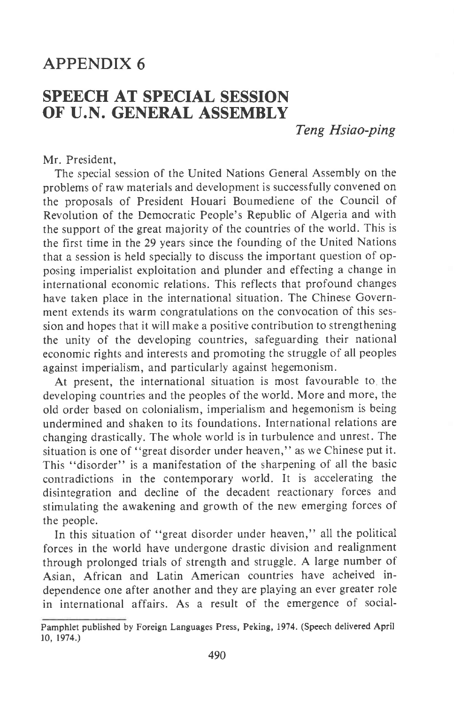## APPENDIX 6

## SPEECH AT SPECIAL SESSION OF U.N. GENERAL ASSEMBLY

Teng Hsiao-ping

## Mr. President,

The special session of the United Nations General Assembly on the problems of raw materials and development is successfully convened on the proposals of President Houari Boumediene of the Council of Revolution of the Democratic People's Republic of Algeria and with the support of the great majority of the countries of the world. This is the first time in the 29 years since the founding of the United Nations that a session is held specially to discuss the important question of opposing imperialist exploitation and plunder and effecting a change in international economic relations. This reflects that profound changes have taken place in the international situation. The Chinese Government extends its warm congratulations on the convocation of this session and hopes that it will make a positive contribution to strengthening the unity of the developing countries, safeguarding their national economic rights and interests and promoting the struggle of all peoples against imperialism, and particularly against hegemonism.

At present, the international situation is most favourable to the developing countries and the peoples of the world. More and more, the old order based on colonialism, imperialism and hegemonism is being undermined and shaken to its foundations. International relations are changing drastically. The whole world is in turbulence and unrest. The situation is one of "great disorder under heaven," as we Chinese put it. This "disorder" is a manifestation of the sharpening of all the basic contradictions in the contemporary world. It is accelerating the disintegration and decline of the decadent reactionary forces and stimulating the awakening and growth of the new emerging forces of the people.

In this situation of "great disorder under heaven," all the political forces in the world have undergone drastic division and realignment through prolonged trials of strength and struggle. A large number of Asian, African and Latin American countries have acheived independence one after another and they are playing an ever greater role in international affairs. As a result of the emergence of social-

Pamphlet published by Foreign Languages Press, Peking, 1974. (Speech delivered April 10, 1974.)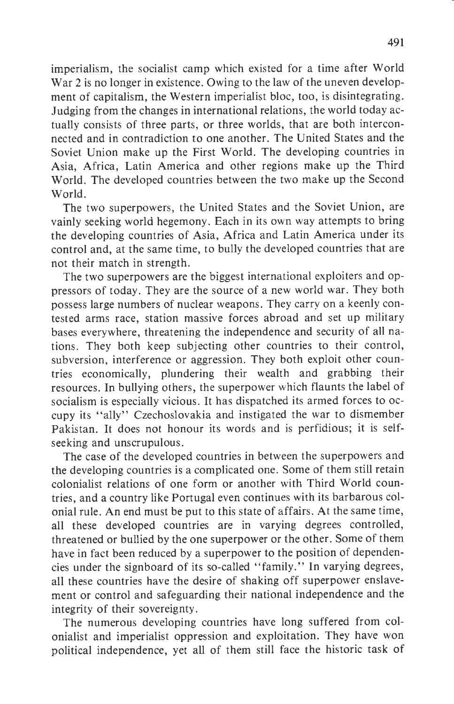imperialism, the socialist camp which existed for a time after World War 2 is no longer in existence. Owing to the law of the uneven development of capitalism, the Western imperialist bloc, too, is disintegrating. Judging from the changes in international relations, the world today actually consists of three parts, or three worlds, that are both interconnected and in contradiction to one another. The United States and the Soviet Union make up the First World. The developing countries in Asia, Africa, Latin America and other regions make up the Third World. The developed countries between the two make up the Second World.

The two superpowers, the United States and the Soviet Union, are vainly seeking world hegemony. Each in its own way attempts to bring the developing countries of Asia, Africa and Latin America under its control and, at the same time, to bully the developed countries that are not their match in strength.

The two superpowers are the biggest international exploiters and oppressors of today. They are the source of a new world war. They both possess large numbers of nuclear weapons. They carry on a keenly contested arms race, station massive forces abroad and set up military bases everywhere, threatening the independence and security of all nations. They both keep subjecting other countries to their control, subversion, interference or aggression. They both exploit other countries economically, plundering their wealth and grabbing their resources, In bullying others, the superpower which flaunts the label of socialism is especially vicious. It has dispatched its armed forces to occupy its "ally" Czechoslovakia and instigated the war to dismember Pakistan. It does not honour its words and is perfidious; it is selfseeking and unscrupulous.

The case of the developed countries in between the superpowers and the developing countries is a complicated one. Some of them still retain colonialist relations of one form or another with Third World countries, and a country Iike Portugal even continues with its barbarous colonial rule. An end must be put to this state of affairs. At the same time, all these developed countries are in varying degrees controlled, threatened or bullied by the one superpower or the other. Some of them have in fact been reduced by a superpower to the position of dependencies under the signboard of its so-called "family." In varying degrees, all these countries have the desire of shaking off superpower enslavement or control and safeguarding their national independence and the integrity of their sovereignty.

The numerous developing countries have long suffered from colonialist and imperialist oppression and exploitation. They have won political independence, yet all of them still face the historic task of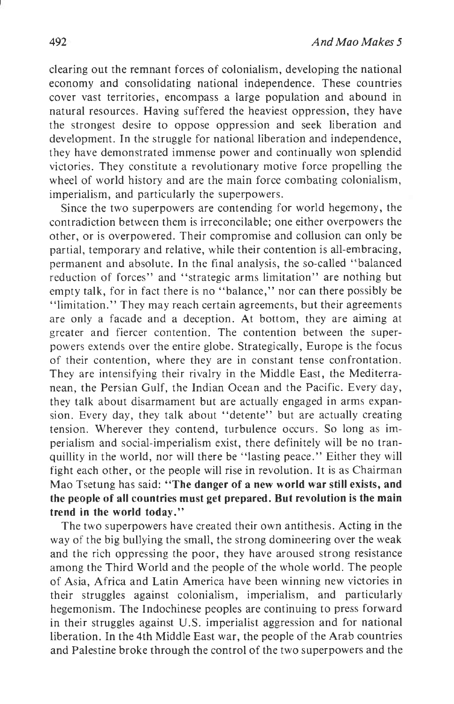clearing out the remnant forces of colonialism, developing the national economy and consolidating national independence. These countries cover vast territories, encompass a large population and abound in natural resources. Having suffered the heaviest oppression, they have the strongest desire to oppose oppression and seek liberation and development. In the struggle for national liberation and independence, they have demonstrated immense power and continually won splendid victories. They constitute a revolutionary motive force propelling the wheel of world history and are the main force combating colonialism, imperialism, and particularly the superpowers.

Since the two superpowers are contending for world hegemony, the contradiction between them is irreconcilable; one either overpowers the other, or is overpowered. Their compromise and collusion can only be partial, temporary and relative, while their contention is all-embracing, permanent and absolute. In the final analysis, the so-called "balanced reduction of forces" and "strategic arms Iimitation" are nothing but empty talk, for in fact there is no "balance," nor can there possibly be "limitation." They may reach certain agreements, but their agreements are only a facade and a deception. At bottom, they are aiming at greater and fiercer contention. The contention between the superpowers extends over the entire globe. Strategically, Europe is the focus of their contention, where they are in constant tense confrontation. They are intensifying their rivalry in the Middle East, the Mediterranean, the Persian Gulf, the Indian Ocean and the Pacific. Every day, they talk about disarmament but are actually engaged in arms expansion. Every day, they talk about "detente" but are actually creating tension. Wherever they contend, turbulence occurs. So long as imperialism and social-imperialism exist, there definitely will be no tranquillity in the world, nor will there be "lasting peace." Either they will fight each other, or the people will rise in revolution. It is as Chairman Mao Tsetung has said: "The danger of a new world war still exists, and the people of all countries must get prepared. But revolution is the main trend in the world today."

The two superpowers have created their own antithesis. Acting in the way of the big bullying the small, the strong domineering over the weak and the rich oppressing the poor, they have aroused strong resistance among the Third World and the people of the whole world. The people of Asia, Africa and Latin America have been winning new victories in their struggles against colonialism, imperialism, and particularly hegemonism. The Indochinese peoples are continuing to press forward in their struggles against U.S. imperialist aggression and for national liberation. In the 4th Middle East war, the people of the Arab countries and Palestine broke through the control of the two superpowers and the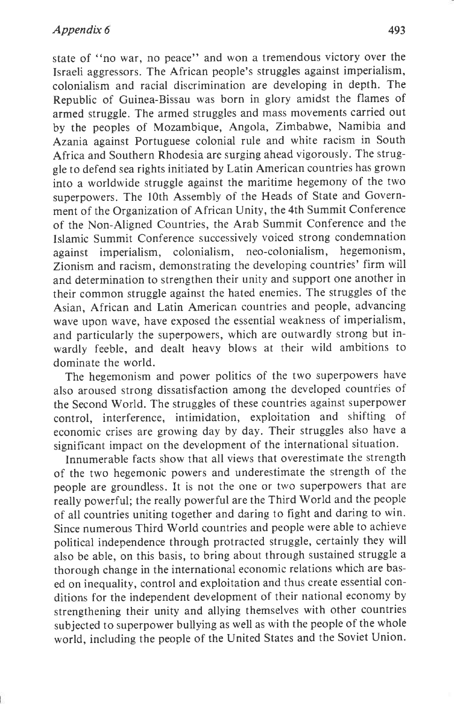state of "no war, no peace" and won a tremendous victory over the Israeli aggressors. The African people's struggles against imperialism, colonialism and racial discrimination are developing in depth. The Republic of Guinea-Bissau was born in glory amidst the flames of armed struggle. The armed struggles and mass movements carried out by the peoples of Mozambique, Angola, Zimbabwe, Namibia and Azania against Portuguese colonial rule and white racism in South Africa and Southern Rhodesia are surging ahead vigorously. The struggle to defend sea rights initiated by Latin American countries has grown into a worldwide struggle against the maritime hegemony of the two superpowers. The l0th Assembly of the Heads of State and Government of the Organization of African Unity, the 4th Summit Conference of the Non-Aligned Countries, the Arab Summit Conference and the Islamic Summit Conference successively voiced strong condemnation against imperialism, colonialism, neo-colonialism, hegemonism, Zionism and racism, demonstrating the developing countries' firm will and determination to strengthen their unity and support one another in their common struggle against the hated enemies. The struggles of the Asian, African and Latin American countries and people, advancing wave upon wave, have exposed the essential weakness of imperialism, and particularly the superpowers, which are outwardly strong but inwardly feeble, and dealt heavy blows at their wild ambitions to dominate the world.

The hegemonism and power politics of the two superpowers have also aroused strong dissatisfaction among the developed countries of the Second World. The struggles of these countries against superpower control, interference, intimidation, exploitation and shifting of economic crises are growing day by day. Their struggles also have <sup>a</sup> significant impact on the development of the international situation.

Innumerable facts show that all views that overestimate the strength of the two hegemonic powers and underestimate the strength of the people are groundless. It is not the one or two superpowers that are really powerful; the really powerful are the Third World and the people of all countries uniting together and daring to fight and daring to win. Since numerous Third World countries and people were able to achieve political independence through protracted struggle, certainly they will also be able, on this basis, to bring about through sustained struggle a thorough change in the international economic relations which are based on inequality, control and exploitation and thus create essential conditions for the independent development of their national economy by strengthening their unity and allying themselves with other countries subjected to superpower bullying as well as with the people of the whole world, including the people of the United States and the Soviet Union.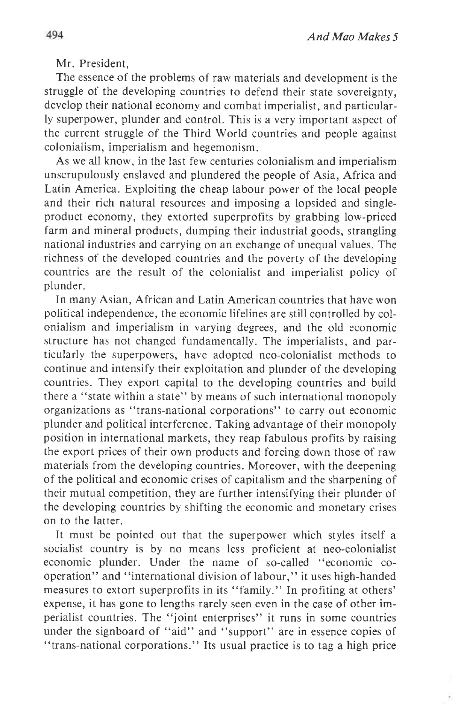Mr. President,

The essence of the problems of raw materials and development is the struggle of the developing countries to defend their state sovereignty, develop their national economy and combat imperialist, and particularly superpower, plunder and control. This is a very important aspect of the current struggle of the Third World countries and people against colonialism, imperialism and hegemonism.

As we all know, in the last few centuries colonialism and imperialism unscrupulously enslaved and plundered the people of Asia, Africa and Latin America. Exploiting the cheap labour power of the local people and their rich natural resources and imposing a lopsided and singleproduct economy, they extorted superprofits by grabbing low-priced farm and mineral products, dumping their industrial goods, strangling national industries and carrying on an exchange of unequal values. The richness of the developed countries and the poverty of the developing countries are the result of the colonialist and imperialist policy of plunder.

In many Asian, African and Latin American countries that have won political independence, the economic lifelines are still controlled by colonialism and imperialism in varying degrees, and the old economic structure has not changed fundamentally. The imperialists, and particularly the superpowers, have adopted neo-colonialist methods to continue and intensify their exploitation and plunder of the developing countries. They export capital to the developing countries and build there a "state within a state" by means of such international monopoly organizations as "trans-national corporations" to carry out economic plunder and political interference. Taking advantage of their monopoly position in international markets, they reap fabulous profits by raising the export prices of their own products and forcing down those of raw materials from the developing countries. Moreover, with the deepening of the political and economic crises of capitalism and the sharpening of their mutual competition, they are further intensifying their plunder of the developing countries by shifting the economic and monetary crises on to the latter.

It must be pointed out that the superpower which styles itself <sup>a</sup> socialist country is by no means less proficient at neo-colonialist economic plunder. Under the name of so-called "economic cooperation" and "international division of labour," it uses high-handed measures to extort superprofits in its "family." In profiting at others' expense, it has gone to lengths rarely seen even in the case of other imperialist countries. The "joint enterprises" it runs in some countries under the signboard of "aid" and "support" are in essence copies of "trans-national corporations." Its usual practice is to tag a high price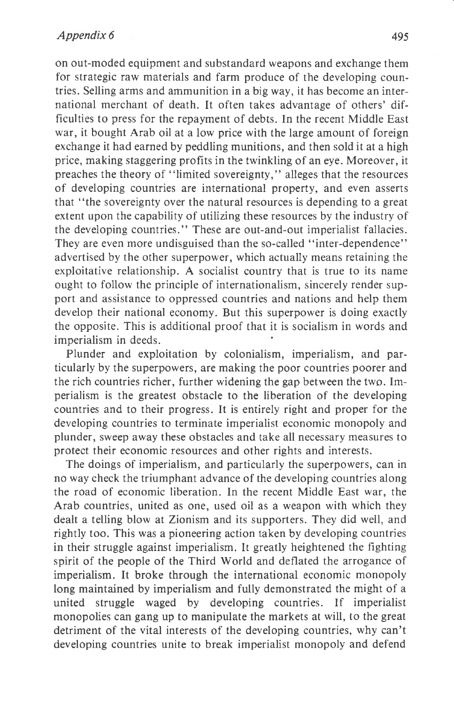on out-moded equipment and substandard weapons and exchange them for strategic raw materials and farm produce of the developing countries. Selling arms and ammunition in a big way, it has become an international merchant of death. It often takes advantage of others' difficulties to press for the repayment of debts. In the recent Middle East war, it bought Arab oil at a low price with the large amount of foreign exchange it had earned by peddling munitions, and then sold it at a high price, making staggering profits in the twinkling of an eye. Moreover, it preaches the theory of "limited sovereignty," alleges that the resources of developing countries are international property, and even asserts that "the sovereignty over the natural resources is depending to a great extent upon the capability of utilizing these resources by the industry of the developing countries." These are out-and-out imperialist fallacies. They are even more undisguised than the so-called "inter-dependence" advertised by the other superpower, which actually means retaining the exploitative relationship. A socialist country that is true to its name ought to follow the principle of internationalism, sincerely render support and assistance to oppressed countries and nations and help them develop their national economy. But this superpower is doing exactly the opposite. This is additional proof that it is socialism in words and imperialism in deeds.

Plunder and exploitation by colonialism, imperialism, and particularly by the superpowers, are making the poor countries poorer and the rich countries richer, further widening the gap between the two. Imperialism is the greatest obstacle to the liberation of the developing countries and to their progress. It is entirely right and proper for the developing countries to terminate imperialist economic monopoly and plunder, sweep away these obstacles and take all necessary measures to protect their economic resources and other rights and interests.

The doings of imperialism, and particularly the superpowers, can in no way check the triumphant advance of the developing countries along the road of economic liberation. In the recent Middle East war, the Arab countries, united as one, used oil as a weapon with which they dealt a telling blow at Zionism and its supporters. They did well, and rightly too. This was a pioneering action taken by developing countries in their struggle against imperialism. It greatly heightened the fighting spirit of the people of the Third World and deflated the arrogance of imperialism. It broke through the international economic monopoly long maintained by imperialism and fully demonstrated the might of <sup>a</sup> united struggle waged by developing countries. If imperialist monopolies can gang up to manipulate the markets at will, to the great detriment of the vital interests of the developing countries, why can't developing countries unite to break imperialist monopoly and defend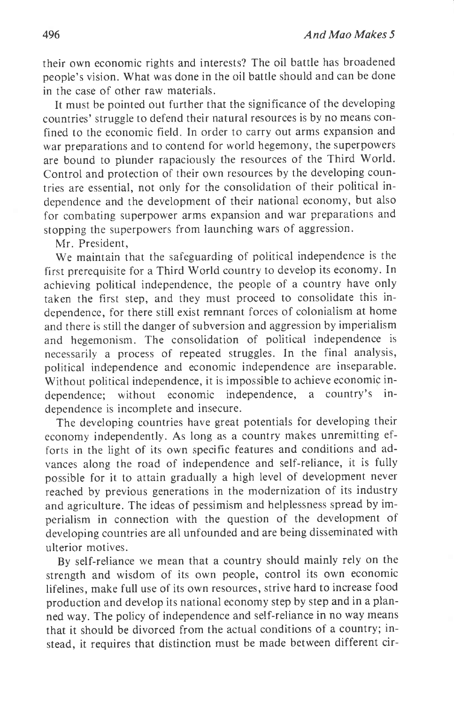their own economic rights and interests? The oil battle has broadened people's vision. What was done in the oil battle should and can be done in the case of other raw materials.

It must be pointed out further that the significance of the developing countries' struggle to defend their natural resources is by no means confined to the economic field. In order to carry out arms expansion and war preparations and to contend for world hegemony, the superpowers are bound to plunder rapaciously the resources of the Third World. Control and protection of their own resources by the developing countries are essential, not only for the consolidation of their political independence and the development of their national economy, but also for combating superpower arms expansion and war preparations and stopping the superpowers from launching wars of aggression.

Mr. President,

We maintain that the safeguarding of political independence is the first prerequisite for a Third World country to develop its economy. In achieving political independence, the people of a country have only taken the first step, and they must proceed to consolidate this independence, for there still exist remnant forces of colonialism at home and there is still the danger of subversion and aggression by imperialism and hegemonism. The consolidation of political independence is necessarily a process of repeated struggles. In the final analysis, political independence and economic independence are inseparable. Without political independence, it is impossible to achieve economic independence; without economic independence, a country's independence is incomplete and insecure.

The developing countries have great potentials for developing their economy independently. As long as a country makes unremitting efforts in the light of its own specific features and conditions and advances along the road of independence and self-reliance, it is fully possible for it to attain gradually a high level of development never reached by previous generations in the modernization of its industry and agriculture. The ideas of pessimism and helplessness spread by imperialism in connection with the question of the development of developing countries are all unfounded and are being disseminated with ulterior motives.

By self-reliance we mean that a country should mainly rely on the strength and wisdom of its own people, control its own economic Iifelines, make full use of its own resources, strive hard to increase food production and develop its national economy step by step and in a planned way. The policy of independence and self-reliance in no way means that it should be divorced from the actual conditions of a country; instead, it requires that distinction must be made between different cir-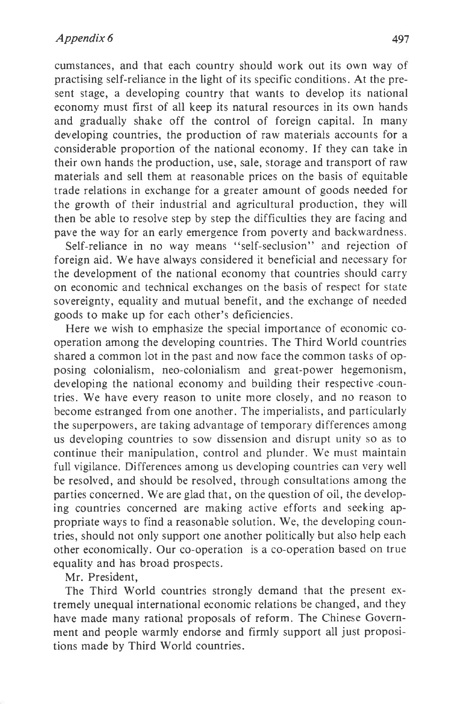## Appendix 6

cumstances, and that each country should work out its own way of practising self-reliance in the light of its specific conditions. At the present stage, a developing country that wants to develop its national economy must first of all keep its natural resources in its own hands and gradually shake off the control of foreign capital. In many developing countries, the production of raw materials accounts for <sup>a</sup> considerable proportion of the national economy. If they can take in their own hands the production, use, sale, storage and transport of raw materials and sell them at reasonable prices on the basis of equitable trade relations in exchange for a greater amount of goods needed for the growth of their industrial and agricultural production, they will then be able to resolve step by step the difficulties they are facing and pave the way for an early emergence from poverty and backwardness.

Self-reliance in no way means "self-seclusion" and rejection of foreign aid. We have always considered it beneficial and necessary for the development of the national economy that countries should carry on economic and technical exchanges on the basis of respect for state sovereignty, equality and mutual benefit, and the exchange of needed goods to make up for each other's deficiencies.

Here we wish to emphasize the special importance of economic cooperation among the developing countries. The Third World countries shared a common lot in the past and now face the common tasks of opposing colonialism, neo-colonialism and great-power hegemonism, developing the national economy and building their respective countries. We have every reason to unite more closely, and no reason to become estranged from one another. The imperialists, and particularly the superpowers, are taking advantage of temporary differences among us developing countries to sow dissension and disrupt unity so as to continue their manipulation, control and plunder. We must maintain full vigilance, Differences among us developing countries can very well be resolved, and should be resolved, through consultations among the parties concerned. We are glad that, on the question of oil, the developing countries concerned are making active efforts and seeking appropriate ways to find a reasonable solution. We, the developing countries, should not only support one another politically but also help each other economically. Our co-operation is a co-operation based on true equality and has broad prospects.

Mr. President,

The Third World countries strongly demand that the present extremely unequal international economic relations be changed, and they have made many rational proposals of reform. The Chinese Government and people warmly endorse and firmly support all just propositions made by Third World countries.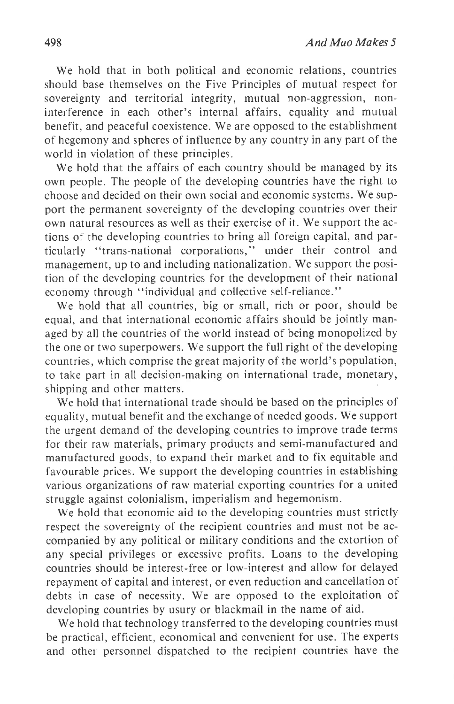We hold that in both political and economic relations, countries should base themselves on the Five Principles of mutual respect for sovereignty and territorial integrity, mutual non-aggression, noninterference in each other's internal affairs, equality and mutual benefit, and peaceful coexistence. We are opposed to the establishment of hegemony and spheres of influence by any country in any part of the world in violation of these principles.

We hold that the affairs of each country should be managed by its own people. The people of the developing countries have the right to choose and decided on their own social and economic systems. We support the permanent sovereignty of the developing countries over their own natural resources as well as their exercise of it. We support the actions of the developing countries to bring all foreign capital, and particularly "trans-national corporations," under their control and management, up to and including nationalization. We support the position of the developing countries for the development of their national economy through "individual and collective self-reliance."

We hold that all countries, big or small, rich or poor, should be equal, and that international economic affairs should be jointly managed by all the countries of the world instead of being monopolized by the one or two superpowers. We support the full right of the developing countries, which comprise the great majority of the world's population, to take part in all decision-making on international trade, monetary, shipping and other matters.

We hold that international trade should be based on the principles of equality, mutual benefit and the exchange of needed goods. We support the urgent demand of the developing countries to improve trade terms for their raw materials, primary products and semi-manufactured and manufactured goods, to expand their market and to fix equitable and favourable prices. We support the developing countries in establishing various organizations of raw material exporting countries for a united struggle against colonialism, imperialism and hegemonism.

We hold that economic aid to the developing countries must strictly respect the sovereignty of the recipient countries and must not be accompanied by any political or military conditions and the extortion of any special privileges or excessive profits. Loans to the developing countries should be interest-free or low-interest and allow for delayed repayment of capital and interest, or even reduction and cancellation of debts in case of necessity. We are opposed to the exploitation of developing countries by usury or blackmail in the name of aid.

We hold that technology transferred to the developing countries must be practical, efficient, economical and convenient for use. The experts and other personnel dispatched to the recipient countries have the